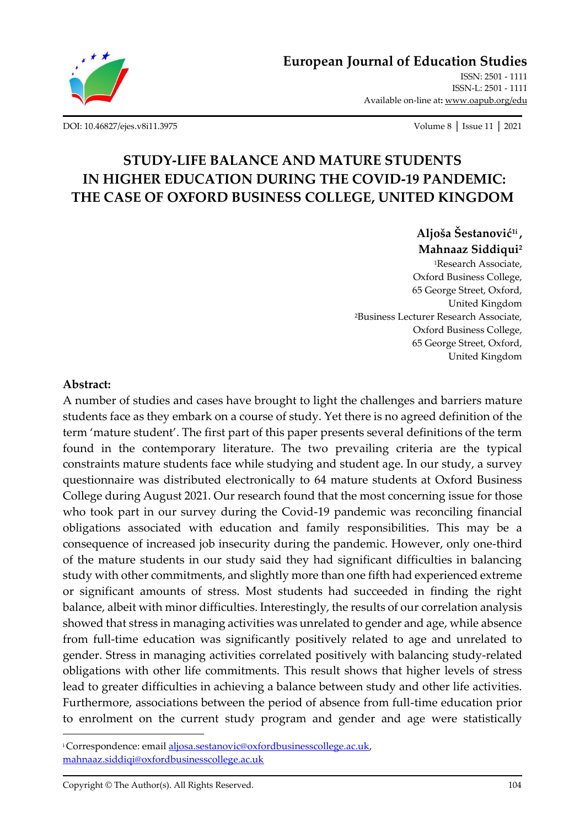

[ISSN: 2501 -](http://oapub.org/edu/index.php/ejes) 1111 [ISSN-L: 2501 -](http://oapub.org/edu/index.php/ejes) 1111 Available on-line at**:** [www.oapub.org/edu](http://www.oapub.org/edu)

[DOI: 10.46827/ejes.v8i11.3975](http://dx.doi.org/10.46827/ejes.v8i11.3975) Volume 8 │ Issue 11 │ 2021

# **STUDY-LIFE BALANCE AND MATURE STUDENTS IN HIGHER EDUCATION DURING THE COVID-19 PANDEMIC: THE CASE OF OXFORD BUSINESS COLLEGE, UNITED KINGDOM**

# **Aljoša Šestanović1i , Mahnaaz Siddiqui<sup>2</sup>**

<sup>1</sup>Research Associate, Oxford Business College, 65 George Street, Oxford, United Kingdom <sup>2</sup>Business Lecturer Research Associate, Oxford Business College, 65 George Street, Oxford, United Kingdom

### **Abstract:**

A number of studies and cases have brought to light the challenges and barriers mature students face as they embark on a course of study. Yet there is no agreed definition of the term 'mature student'. The first part of this paper presents several definitions of the term found in the contemporary literature. The two prevailing criteria are the typical constraints mature students face while studying and student age. In our study, a survey questionnaire was distributed electronically to 64 mature students at Oxford Business College during August 2021. Our research found that the most concerning issue for those who took part in our survey during the Covid-19 pandemic was reconciling financial obligations associated with education and family responsibilities. This may be a consequence of increased job insecurity during the pandemic. However, only one-third of the mature students in our study said they had significant difficulties in balancing study with other commitments, and slightly more than one fifth had experienced extreme or significant amounts of stress. Most students had succeeded in finding the right balance, albeit with minor difficulties. Interestingly, the results of our correlation analysis showed that stress in managing activities was unrelated to gender and age, while absence from full-time education was significantly positively related to age and unrelated to gender. Stress in managing activities correlated positively with balancing study-related obligations with other life commitments. This result shows that higher levels of stress lead to greater difficulties in achieving a balance between study and other life activities. Furthermore, associations between the period of absence from full-time education prior to enrolment on the current study program and gender and age were statistically

<sup>&</sup>lt;sup>i</sup>Correspondence: emai[l aljosa.sestanovic@oxfordbusinesscollege.ac.uk,](mailto:aljosa.sestanovic@oxfordbusinesscollege.ac.uk) [mahnaaz.siddiqi@oxfordbusinesscollege.ac.uk](mailto:mahnaaz.siddiqi@oxfordbusinesscollege.ac.uk)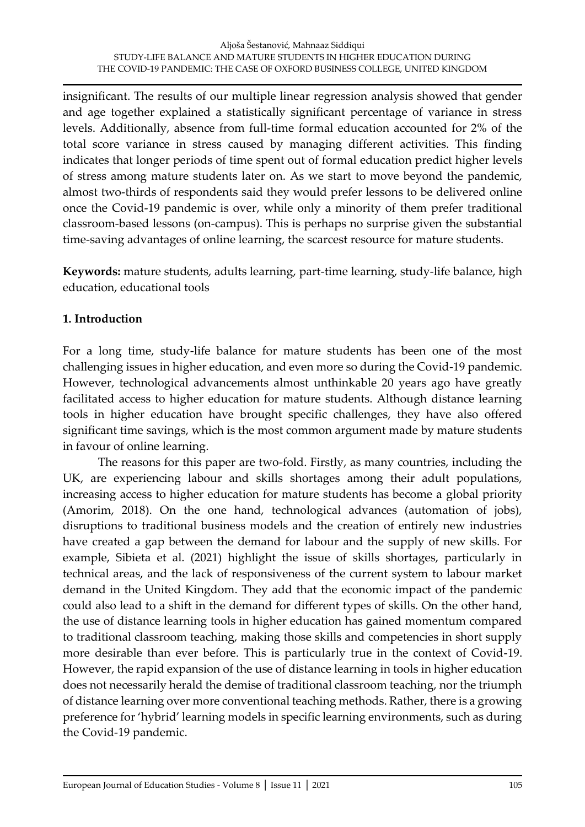insignificant. The results of our multiple linear regression analysis showed that gender and age together explained a statistically significant percentage of variance in stress levels. Additionally, absence from full-time formal education accounted for 2% of the total score variance in stress caused by managing different activities. This finding indicates that longer periods of time spent out of formal education predict higher levels of stress among mature students later on. As we start to move beyond the pandemic, almost two-thirds of respondents said they would prefer lessons to be delivered online once the Covid-19 pandemic is over, while only a minority of them prefer traditional classroom-based lessons (on-campus). This is perhaps no surprise given the substantial time-saving advantages of online learning, the scarcest resource for mature students.

**Keywords:** mature students, adults learning, part-time learning, study-life balance, high education, educational tools

## **1. Introduction**

For a long time, study-life balance for mature students has been one of the most challenging issues in higher education, and even more so during the Covid-19 pandemic. However, technological advancements almost unthinkable 20 years ago have greatly facilitated access to higher education for mature students. Although distance learning tools in higher education have brought specific challenges, they have also offered significant time savings, which is the most common argument made by mature students in favour of online learning.

The reasons for this paper are two-fold. Firstly, as many countries, including the UK, are experiencing labour and skills shortages among their adult populations, increasing access to higher education for mature students has become a global priority (Amorim, 2018). On the one hand, technological advances (automation of jobs), disruptions to traditional business models and the creation of entirely new industries have created a gap between the demand for labour and the supply of new skills. For example, Sibieta et al. (2021) highlight the issue of skills shortages, particularly in technical areas, and the lack of responsiveness of the current system to labour market demand in the United Kingdom. They add that the economic impact of the pandemic could also lead to a shift in the demand for different types of skills. On the other hand, the use of distance learning tools in higher education has gained momentum compared to traditional classroom teaching, making those skills and competencies in short supply more desirable than ever before. This is particularly true in the context of Covid-19. However, the rapid expansion of the use of distance learning in tools in higher education does not necessarily herald the demise of traditional classroom teaching, nor the triumph of distance learning over more conventional teaching methods. Rather, there is a growing preference for 'hybrid' learning models in specific learning environments, such as during the Covid-19 pandemic.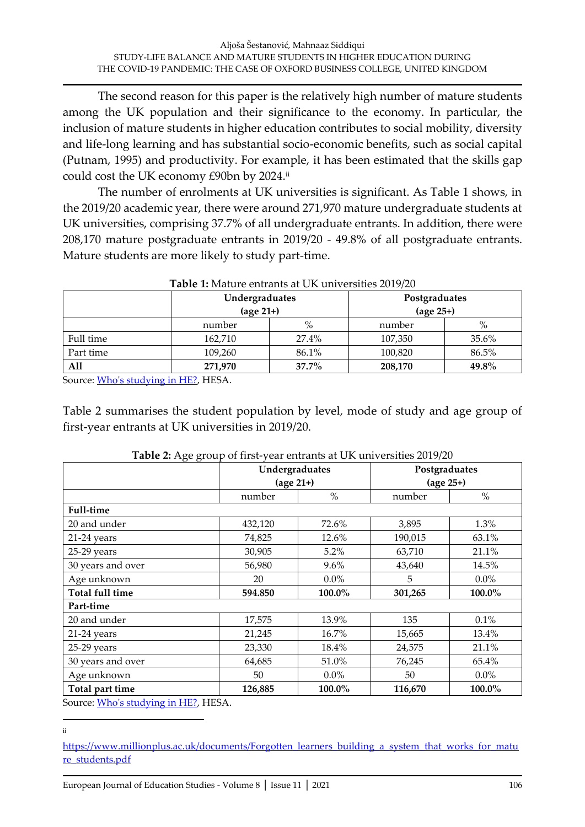The second reason for this paper is the relatively high number of mature students among the UK population and their significance to the economy. In particular, the inclusion of mature students in higher education contributes to social mobility, diversity and life-long learning and has substantial socio-economic benefits, such as social capital (Putnam, 1995) and productivity. For example, it has been estimated that the skills gap could cost the UK economy £90bn by 2024.ii

The number of enrolments at UK universities is significant. As Table 1 shows, in the 2019/20 academic year, there were around 271,970 mature undergraduate students at UK universities, comprising 37.7% of all undergraduate entrants. In addition, there were 208,170 mature postgraduate entrants in 2019/20 - 49.8% of all postgraduate entrants. Mature students are more likely to study part-time.

|           | Undergraduates<br>$(\text{age }21+)$ |          | Postgraduates<br>$(age 25+)$ |       |  |
|-----------|--------------------------------------|----------|------------------------------|-------|--|
|           | $\%$<br>number                       |          | number                       | $\%$  |  |
| Full time | 162,710                              | 27.4%    | 107,350                      | 35.6% |  |
| Part time | 109,260                              | 86.1%    | 100,820                      | 86.5% |  |
| All       | 271,970                              | $37.7\%$ | 208,170                      | 49.8% |  |

#### **Table 1:** Mature entrants at UK universities 2019/20

Source[: Who's studying in HE?,](https://www.hesa.ac.uk/data-and-analysis/students/whos-in-he#characteristics) HESA.

Table 2 summarises the student population by level, mode of study and age group of first-year entrants at UK universities in 2019/20.

|                        |         | Undergraduates<br>$(\text{age }21+)$ | Postgraduates<br>$(age 25+)$ |         |  |
|------------------------|---------|--------------------------------------|------------------------------|---------|--|
|                        | number  | $\%$                                 | number                       | $\%$    |  |
| <b>Full-time</b>       |         |                                      |                              |         |  |
| 20 and under           | 432,120 | 72.6%                                | 3,895                        | 1.3%    |  |
| 21-24 years            | 74,825  | 12.6%                                | 190,015                      | 63.1%   |  |
| 25-29 years            | 30,905  | 5.2%                                 | 63,710                       | 21.1%   |  |
| 30 years and over      | 56,980  | $9.6\%$                              | 43,640                       | 14.5%   |  |
| Age unknown            | 20      | $0.0\%$                              | 5                            | $0.0\%$ |  |
| <b>Total full time</b> | 594.850 | 100.0%                               | 301,265                      | 100.0%  |  |
| Part-time              |         |                                      |                              |         |  |
| 20 and under           | 17,575  | 13.9%                                | 135                          | 0.1%    |  |
| $21-24$ years          | 21,245  | 16.7%                                | 15,665                       | 13.4%   |  |
| 25-29 years            | 23,330  | 18.4%                                | 24,575                       | 21.1%   |  |
| 30 years and over      | 64,685  | 51.0%                                | 76,245                       | 65.4%   |  |
| Age unknown            | 50      | $0.0\%$                              | 50                           | $0.0\%$ |  |
| Total part time        | 126,885 | 100.0%                               | 116,670                      | 100.0%  |  |

| Table 2: Age group of first-year entrants at UK universities 2019/20 |  |  |
|----------------------------------------------------------------------|--|--|
|                                                                      |  |  |

Source[: Who's studying in HE?,](https://www.hesa.ac.uk/data-and-analysis/students/whos-in-he#characteristics) HESA.

ii

[https://www.millionplus.ac.uk/documents/Forgotten\\_learners\\_building\\_a\\_system\\_that\\_works\\_for\\_matu](https://www.millionplus.ac.uk/documents/Forgotten_learners_building_a_system_that_works_for_mature_students.pdf) [re\\_students.pdf](https://www.millionplus.ac.uk/documents/Forgotten_learners_building_a_system_that_works_for_mature_students.pdf)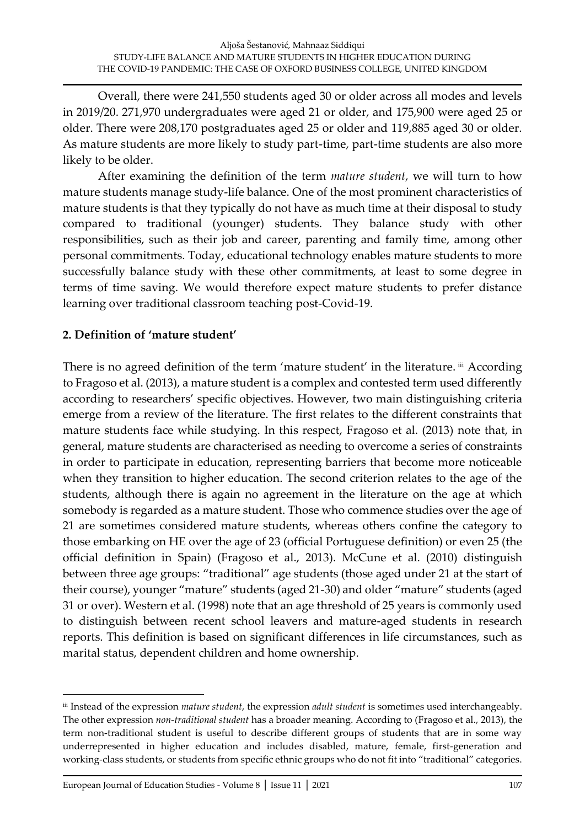Overall, there were 241,550 students aged 30 or older across all modes and levels in 2019/20. 271,970 undergraduates were aged 21 or older, and 175,900 were aged 25 or older. There were 208,170 postgraduates aged 25 or older and 119,885 aged 30 or older. As mature students are more likely to study part-time, part-time students are also more likely to be older.

After examining the definition of the term *mature student*, we will turn to how mature students manage study-life balance. One of the most prominent characteristics of mature students is that they typically do not have as much time at their disposal to study compared to traditional (younger) students. They balance study with other responsibilities, such as their job and career, parenting and family time, among other personal commitments. Today, educational technology enables mature students to more successfully balance study with these other commitments, at least to some degree in terms of time saving. We would therefore expect mature students to prefer distance learning over traditional classroom teaching post-Covid-19.

# **2. Definition of 'mature student'**

There is no agreed definition of the term 'mature student' in the literature. iii According to Fragoso et al. (2013), a mature student is a complex and contested term used differently according to researchers' specific objectives. However, two main distinguishing criteria emerge from a review of the literature. The first relates to the different constraints that mature students face while studying. In this respect, Fragoso et al. (2013) note that, in general, mature students are characterised as needing to overcome a series of constraints in order to participate in education, representing barriers that become more noticeable when they transition to higher education. The second criterion relates to the age of the students, although there is again no agreement in the literature on the age at which somebody is regarded as a mature student. Those who commence studies over the age of 21 are sometimes considered mature students, whereas others confine the category to those embarking on HE over the age of 23 (official Portuguese definition) or even 25 (the official definition in Spain) (Fragoso et al., 2013). McCune et al. (2010) distinguish between three age groups: "traditional" age students (those aged under 21 at the start of their course), younger "mature" students (aged 21-30) and older "mature" students (aged 31 or over). Western et al. (1998) note that an age threshold of 25 years is commonly used to distinguish between recent school leavers and mature-aged students in research reports. This definition is based on significant differences in life circumstances, such as marital status, dependent children and home ownership.

iii Instead of the expression *mature student*, the expression *adult student* is sometimes used interchangeably. The other expression *non-traditional student* has a broader meaning. According to (Fragoso et al., 2013), the term non-traditional student is useful to describe different groups of students that are in some way underrepresented in higher education and includes disabled, mature, female, first-generation and working-class students, or students from specific ethnic groups who do not fit into "traditional" categories.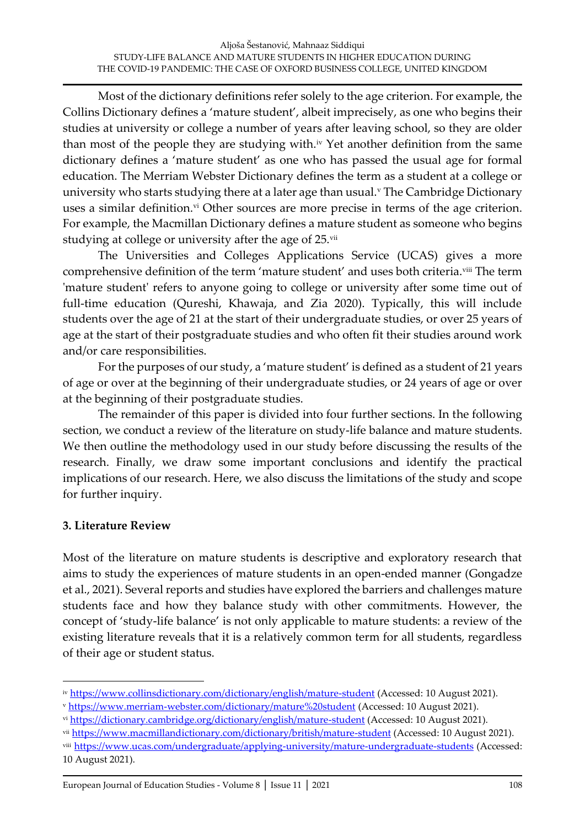Most of the dictionary definitions refer solely to the age criterion. For example, the Collins Dictionary defines a 'mature student', albeit imprecisely, as one who begins their studies at university or college a number of years after leaving school, so they are older than most of the people they are studying with.<sup>iv</sup> Yet another definition from the same dictionary defines a 'mature student' as one who has passed the usual age for formal education. The Merriam Webster Dictionary defines the term as a student at a college or university who starts studying there at a later age than usual.<sup>v</sup> The Cambridge Dictionary uses a similar definition.<sup>vi</sup> Other sources are more precise in terms of the age criterion. For example, the Macmillan Dictionary defines a mature student as someone who begins studying at college or university after the age of 25.vii

The Universities and Colleges Applications Service (UCAS) gives a more comprehensive definition of the term 'mature student' and uses both criteria.<sup>viii</sup> The term 'mature student' refers to anyone going to college or university after some time out of full-time education (Qureshi, Khawaja, and Zia 2020). Typically, this will include students over the age of 21 at the start of their undergraduate studies, or over 25 years of age at the start of their postgraduate studies and who often fit their studies around work and/or care responsibilities.

For the purposes of our study, a 'mature student' is defined as a student of 21 years of age or over at the beginning of their undergraduate studies, or 24 years of age or over at the beginning of their postgraduate studies.

The remainder of this paper is divided into four further sections. In the following section, we conduct a review of the literature on study-life balance and mature students. We then outline the methodology used in our study before discussing the results of the research. Finally, we draw some important conclusions and identify the practical implications of our research. Here, we also discuss the limitations of the study and scope for further inquiry.

## **3. Literature Review**

Most of the literature on mature students is descriptive and exploratory research that aims to study the experiences of mature students in an open-ended manner (Gongadze et al., 2021). Several reports and studies have explored the barriers and challenges mature students face and how they balance study with other commitments. However, the concept of 'study-life balance' is not only applicable to mature students: a review of the existing literature reveals that it is a relatively common term for all students, regardless of their age or student status.

- vii <https://www.macmillandictionary.com/dictionary/british/mature-student> (Accessed: 10 August 2021).
- viii <https://www.ucas.com/undergraduate/applying-university/mature-undergraduate-students> (Accessed: 10 August 2021).

iv <https://www.collinsdictionary.com/dictionary/english/mature-student> (Accessed: 10 August 2021).

<sup>v</sup> <https://www.merriam-webster.com/dictionary/mature%20student> (Accessed: 10 August 2021).

vi <https://dictionary.cambridge.org/dictionary/english/mature-student> (Accessed: 10 August 2021).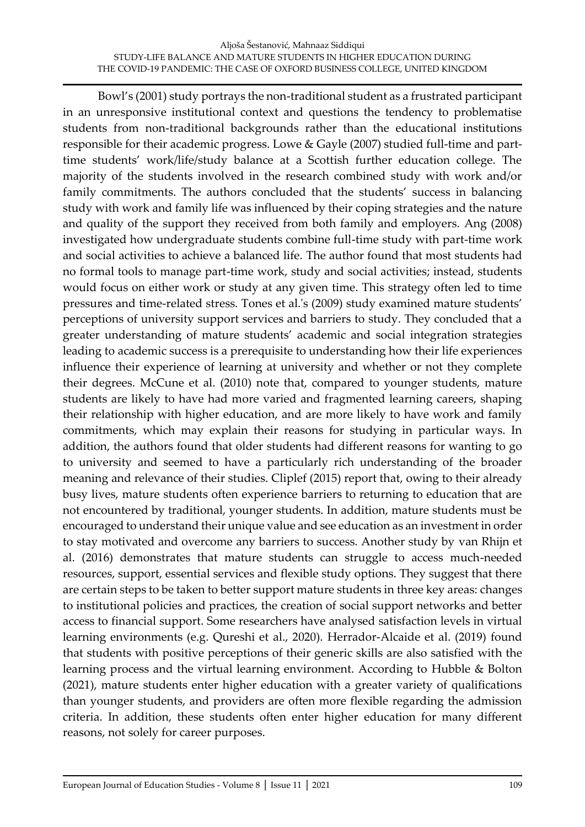Bowl's (2001) study portrays the non-traditional student as a frustrated participant in an unresponsive institutional context and questions the tendency to problematise students from non-traditional backgrounds rather than the educational institutions responsible for their academic progress. Lowe & Gayle (2007) studied full-time and parttime students' work/life/study balance at a Scottish further education college. The majority of the students involved in the research combined study with work and/or family commitments. The authors concluded that the students' success in balancing study with work and family life was influenced by their coping strategies and the nature and quality of the support they received from both family and employers. Ang (2008) investigated how undergraduate students combine full-time study with part-time work and social activities to achieve a balanced life. The author found that most students had no formal tools to manage part-time work, study and social activities; instead, students would focus on either work or study at any given time. This strategy often led to time pressures and time-related stress. Tones et al.'s (2009) study examined mature students' perceptions of university support services and barriers to study. They concluded that a greater understanding of mature students' academic and social integration strategies leading to academic success is a prerequisite to understanding how their life experiences influence their experience of learning at university and whether or not they complete their degrees. McCune et al. (2010) note that, compared to younger students, mature students are likely to have had more varied and fragmented learning careers, shaping their relationship with higher education, and are more likely to have work and family commitments, which may explain their reasons for studying in particular ways. In addition, the authors found that older students had different reasons for wanting to go to university and seemed to have a particularly rich understanding of the broader meaning and relevance of their studies. Cliplef (2015) report that, owing to their already busy lives, mature students often experience barriers to returning to education that are not encountered by traditional, younger students. In addition, mature students must be encouraged to understand their unique value and see education as an investment in order to stay motivated and overcome any barriers to success. Another study by van Rhijn et al. (2016) demonstrates that mature students can struggle to access much-needed resources, support, essential services and flexible study options. They suggest that there are certain steps to be taken to better support mature students in three key areas: changes to institutional policies and practices, the creation of social support networks and better access to financial support. Some researchers have analysed satisfaction levels in virtual learning environments (e.g. Qureshi et al., 2020). Herrador-Alcaide et al. (2019) found that students with positive perceptions of their generic skills are also satisfied with the learning process and the virtual learning environment. According to Hubble & Bolton (2021), mature students enter higher education with a greater variety of qualifications than younger students, and providers are often more flexible regarding the admission criteria. In addition, these students often enter higher education for many different reasons, not solely for career purposes.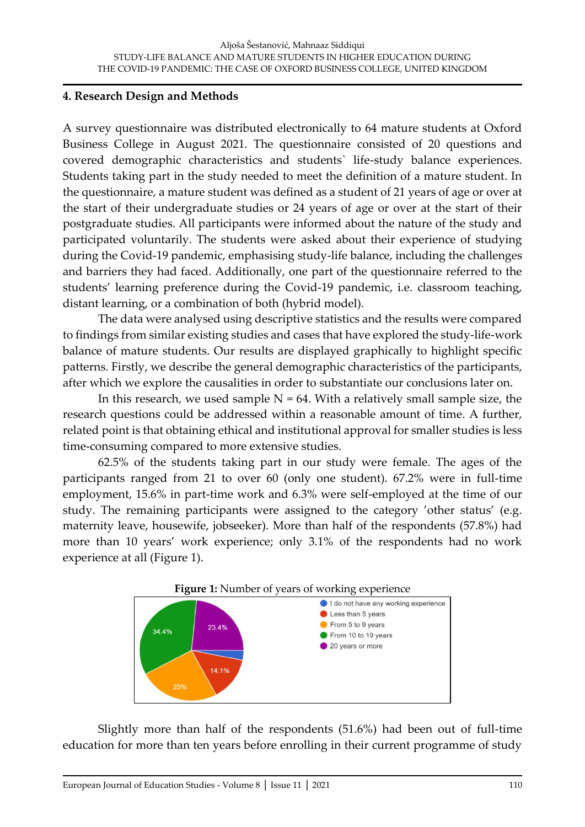### **4. Research Design and Methods**

A survey questionnaire was distributed electronically to 64 mature students at Oxford Business College in August 2021. The questionnaire consisted of 20 questions and covered demographic characteristics and students` life-study balance experiences. Students taking part in the study needed to meet the definition of a mature student. In the questionnaire, a mature student was defined as a student of 21 years of age or over at the start of their undergraduate studies or 24 years of age or over at the start of their postgraduate studies. All participants were informed about the nature of the study and participated voluntarily. The students were asked about their experience of studying during the Covid-19 pandemic, emphasising study-life balance, including the challenges and barriers they had faced. Additionally, one part of the questionnaire referred to the students' learning preference during the Covid-19 pandemic, i.e. classroom teaching, distant learning, or a combination of both (hybrid model).

The data were analysed using descriptive statistics and the results were compared to findings from similar existing studies and cases that have explored the study-life-work balance of mature students. Our results are displayed graphically to highlight specific patterns. Firstly, we describe the general demographic characteristics of the participants, after which we explore the causalities in order to substantiate our conclusions later on.

In this research, we used sample  $N = 64$ . With a relatively small sample size, the research questions could be addressed within a reasonable amount of time. A further, related point is that obtaining ethical and institutional approval for smaller studies is less time-consuming compared to more extensive studies.

62.5% of the students taking part in our study were female. The ages of the participants ranged from 21 to over 60 (only one student). 67.2% were in full-time employment, 15.6% in part-time work and 6.3% were self-employed at the time of our study. The remaining participants were assigned to the category 'other status' (e.g. maternity leave, housewife, jobseeker). More than half of the respondents (57.8%) had more than 10 years' work experience; only 3.1% of the respondents had no work experience at all (Figure 1).



Slightly more than half of the respondents (51.6%) had been out of full-time education for more than ten years before enrolling in their current programme of study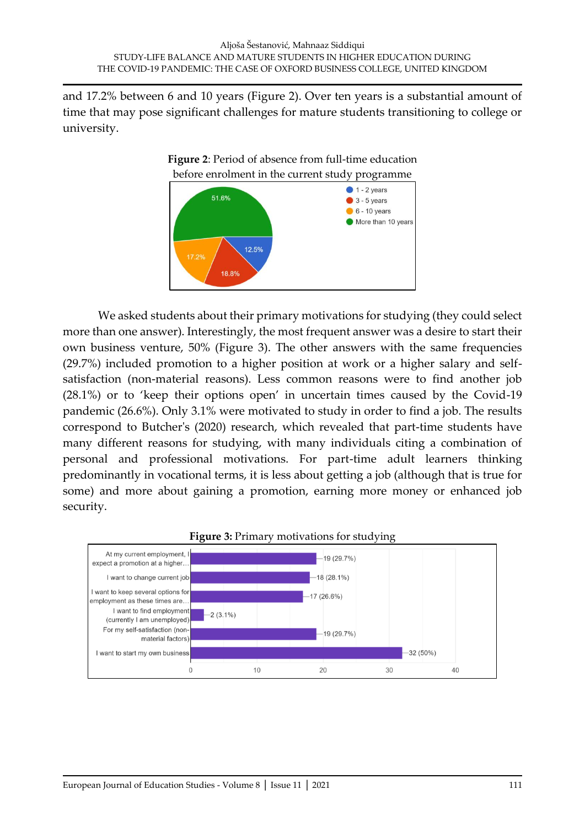and 17.2% between 6 and 10 years (Figure 2). Over ten years is a substantial amount of time that may pose significant challenges for mature students transitioning to college or university.



We asked students about their primary motivations for studying (they could select more than one answer). Interestingly, the most frequent answer was a desire to start their own business venture, 50% (Figure 3). The other answers with the same frequencies (29.7%) included promotion to a higher position at work or a higher salary and selfsatisfaction (non-material reasons). Less common reasons were to find another job (28.1%) or to 'keep their options open' in uncertain times caused by the Covid-19 pandemic (26.6%). Only 3.1% were motivated to study in order to find a job. The results correspond to Butcher's (2020) research, which revealed that part-time students have many different reasons for studying, with many individuals citing a combination of personal and professional motivations. For part-time adult learners thinking predominantly in vocational terms, it is less about getting a job (although that is true for some) and more about gaining a promotion, earning more money or enhanced job security.



### **Figure 3:** Primary motivations for studying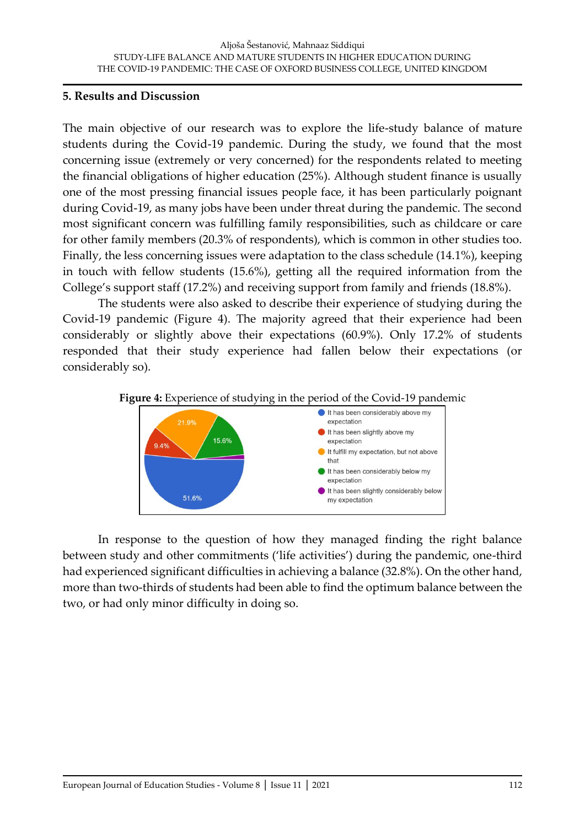### **5. Results and Discussion**

The main objective of our research was to explore the life-study balance of mature students during the Covid-19 pandemic. During the study, we found that the most concerning issue (extremely or very concerned) for the respondents related to meeting the financial obligations of higher education (25%). Although student finance is usually one of the most pressing financial issues people face, it has been particularly poignant during Covid-19, as many jobs have been under threat during the pandemic. The second most significant concern was fulfilling family responsibilities, such as childcare or care for other family members (20.3% of respondents), which is common in other studies too. Finally, the less concerning issues were adaptation to the class schedule (14.1%), keeping in touch with fellow students (15.6%), getting all the required information from the College's support staff (17.2%) and receiving support from family and friends (18.8%).

The students were also asked to describe their experience of studying during the Covid-19 pandemic (Figure 4). The majority agreed that their experience had been considerably or slightly above their expectations (60.9%). Only 17.2% of students responded that their study experience had fallen below their expectations (or considerably so).





In response to the question of how they managed finding the right balance between study and other commitments ('life activities') during the pandemic, one-third had experienced significant difficulties in achieving a balance (32.8%). On the other hand, more than two-thirds of students had been able to find the optimum balance between the two, or had only minor difficulty in doing so.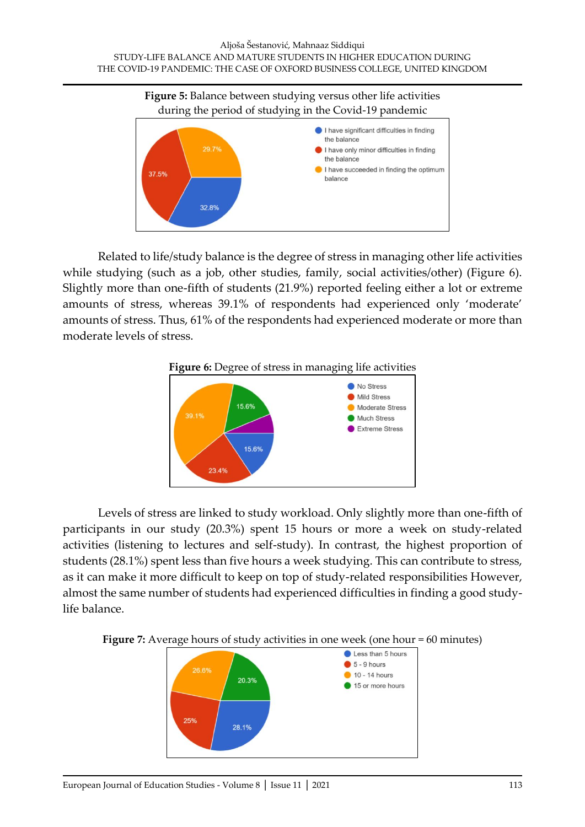

Related to life/study balance is the degree of stress in managing other life activities while studying (such as a job, other studies, family, social activities/other) (Figure 6). Slightly more than one-fifth of students (21.9%) reported feeling either a lot or extreme amounts of stress, whereas 39.1% of respondents had experienced only 'moderate' amounts of stress. Thus, 61% of the respondents had experienced moderate or more than moderate levels of stress.





Levels of stress are linked to study workload. Only slightly more than one-fifth of participants in our study (20.3%) spent 15 hours or more a week on study-related activities (listening to lectures and self-study). In contrast, the highest proportion of students (28.1%) spent less than five hours a week studying. This can contribute to stress, as it can make it more difficult to keep on top of study-related responsibilities However, almost the same number of students had experienced difficulties in finding a good studylife balance.



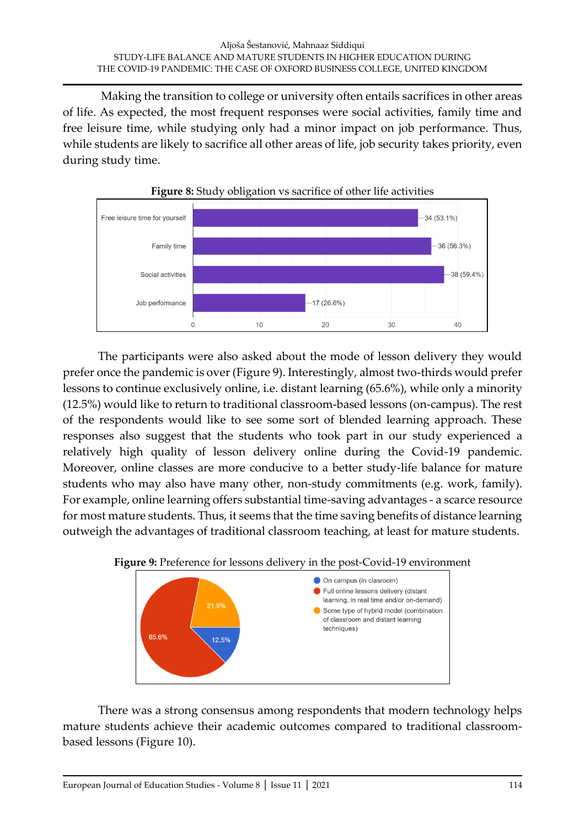Making the transition to college or university often entails sacrifices in other areas of life. As expected, the most frequent responses were social activities, family time and free leisure time, while studying only had a minor impact on job performance. Thus, while students are likely to sacrifice all other areas of life, job security takes priority, even during study time.



The participants were also asked about the mode of lesson delivery they would prefer once the pandemic is over (Figure 9). Interestingly, almost two-thirds would prefer lessons to continue exclusively online, i.e. distant learning (65.6%), while only a minority (12.5%) would like to return to traditional classroom-based lessons (on-campus). The rest of the respondents would like to see some sort of blended learning approach. These responses also suggest that the students who took part in our study experienced a relatively high quality of lesson delivery online during the Covid-19 pandemic. Moreover, online classes are more conducive to a better study-life balance for mature students who may also have many other, non-study commitments (e.g. work, family). For example, online learning offers substantial time-saving advantages - a scarce resource for most mature students. Thus, it seems that the time saving benefits of distance learning outweigh the advantages of traditional classroom teaching, at least for mature students.





There was a strong consensus among respondents that modern technology helps mature students achieve their academic outcomes compared to traditional classroombased lessons (Figure 10).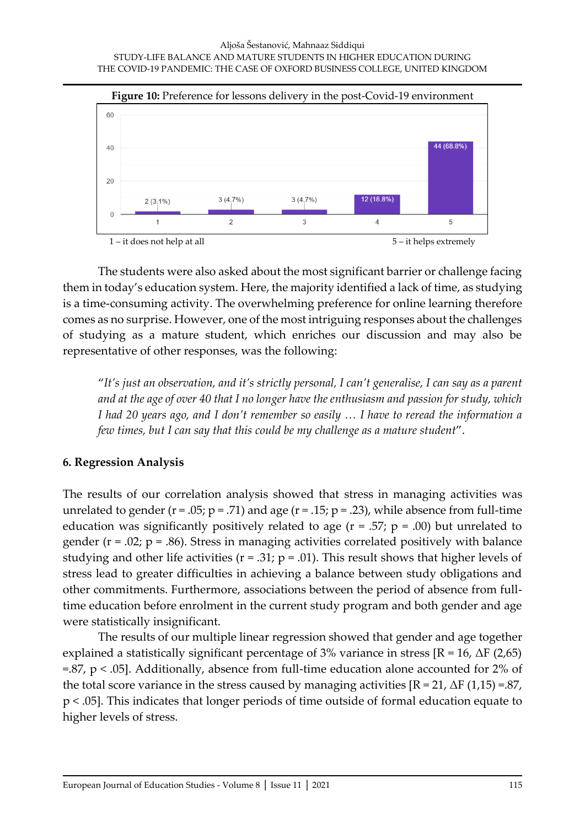

The students were also asked about the most significant barrier or challenge facing them in today's education system. Here, the majority identified a lack of time, as studying is a time-consuming activity. The overwhelming preference for online learning therefore comes as no surprise. However, one of the most intriguing responses about the challenges of studying as a mature student, which enriches our discussion and may also be representative of other responses, was the following:

"*It's just an observation, and it's strictly personal, I can't generalise, I can say as a parent and at the age of over 40 that I no longer have the enthusiasm and passion for study, which I had 20 years ago, and I don't remember so easily … I have to reread the information a few times, but I can say that this could be my challenge as a mature student*".

## **6. Regression Analysis**

The results of our correlation analysis showed that stress in managing activities was unrelated to gender  $(r = .05; p = .71)$  and age  $(r = .15; p = .23)$ , while absence from full-time education was significantly positively related to age  $(r = .57; p = .00)$  but unrelated to gender ( $r = .02$ ;  $p = .86$ ). Stress in managing activities correlated positively with balance studying and other life activities ( $r = .31$ ;  $p = .01$ ). This result shows that higher levels of stress lead to greater difficulties in achieving a balance between study obligations and other commitments. Furthermore, associations between the period of absence from fulltime education before enrolment in the current study program and both gender and age were statistically insignificant.

The results of our multiple linear regression showed that gender and age together explained a statistically significant percentage of 3% variance in stress  $[R = 16, \Delta F (2,65)]$  $= 87$ , p  $< .05$ ]. Additionally, absence from full-time education alone accounted for 2% of the total score variance in the stress caused by managing activities  $[R = 21, \Delta F (1, 15) = .87,$ p < .05]. This indicates that longer periods of time outside of formal education equate to higher levels of stress.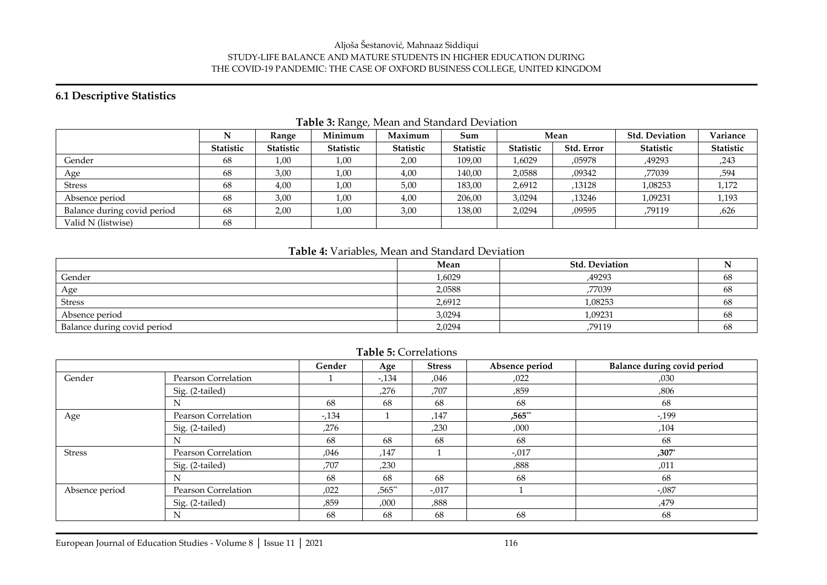#### Aljoša Šestanović, Mahnaaz Siddiqui STUDY-LIFE BALANCE AND MATURE STUDENTS IN HIGHER EDUCATION DURING THE COVID-19 PANDEMIC: THE CASE OF OXFORD BUSINESS COLLEGE, UNITED KINGDOM

### **6.1 Descriptive Statistics**

|                             | N         | Range     | Minimum   | Maximum          | Sum       | Mean             |            | <b>Std. Deviation</b> | Variance  |  |
|-----------------------------|-----------|-----------|-----------|------------------|-----------|------------------|------------|-----------------------|-----------|--|
|                             | Statistic | Statistic | Statistic | <b>Statistic</b> | Statistic | <b>Statistic</b> | Std. Error | <b>Statistic</b>      | Statistic |  |
| Gender                      | 68        | 1,00      | 1,00      | 2,00             | 109,00    | 1,6029           | ,05978     | ,49293                | ,243      |  |
| Age                         | 68        | 3,00      | 1,00      | 4,00             | 140,00    | 2,0588           | ,09342     | ,77039                | ,594      |  |
| <b>Stress</b>               | 68        | 4,00      | 1,00      | 5,00             | 183,00    | 2,6912           | ,13128     | 1,08253               | 1,172     |  |
| Absence period              | 68        | 3,00      | 1,00      | 4,00             | 206,00    | 3,0294           | ,13246     | 1,09231               | 1,193     |  |
| Balance during covid period | 68        | 2,00      | 1,00      | 3,00             | 138,00    | 2,0294           | ,09595     | ,79119                | ,626      |  |
| Valid N (listwise)          | 68        |           |           |                  |           |                  |            |                       |           |  |

### **Table 3:** Range, Mean and Standard Deviation

### **Table 4:** Variables, Mean and Standard Deviation

|                             | Mean   | <b>Std. Deviation</b> |     |
|-----------------------------|--------|-----------------------|-----|
| Gender                      | 1,6029 | ,49293                | 68  |
| Age                         | 2,0588 | ,77039                | 68  |
| <b>Stress</b>               | 2,6912 | 1,08253               | 68  |
| Absence period              | 3,0294 | 1,09231               | -68 |
| Balance during covid period | 2,0294 | ,79119                | 68  |

### **Table 5:** Correlations

|                |                     | Gender | Age      | <b>Stress</b> | Absence period | Balance during covid period |
|----------------|---------------------|--------|----------|---------------|----------------|-----------------------------|
| Gender         | Pearson Correlation |        | $-134$   | ,046          | ,022           | ,030                        |
|                | Sig. (2-tailed)     |        | ,276     | ,707          | ,859           | ,806                        |
|                | N                   | 68     | 68       | 68            | 68             | 68                          |
| Age            | Pearson Correlation | $-134$ |          | ,147          | $,565**$       | $-199$                      |
|                | Sig. (2-tailed)     | ,276   |          | ,230          | ,000           | ,104                        |
|                | N                   | 68     | 68       | 68            | 68             | 68                          |
| <b>Stress</b>  | Pearson Correlation | ,046   | ,147     |               | $-.017$        | $,307$ *                    |
|                | Sig. (2-tailed)     | ,707   | ,230     |               | ,888           | ,011                        |
|                | N                   | 68     | 68       | 68            | 68             | 68                          |
| Absence period | Pearson Correlation | ,022   | $,565**$ | $-.017$       |                | $-0.087$                    |
|                | Sig. (2-tailed)     | ,859   | ,000     | ,888          |                | ,479                        |
|                | N                   | 68     | 68       | 68            | 68             | 68                          |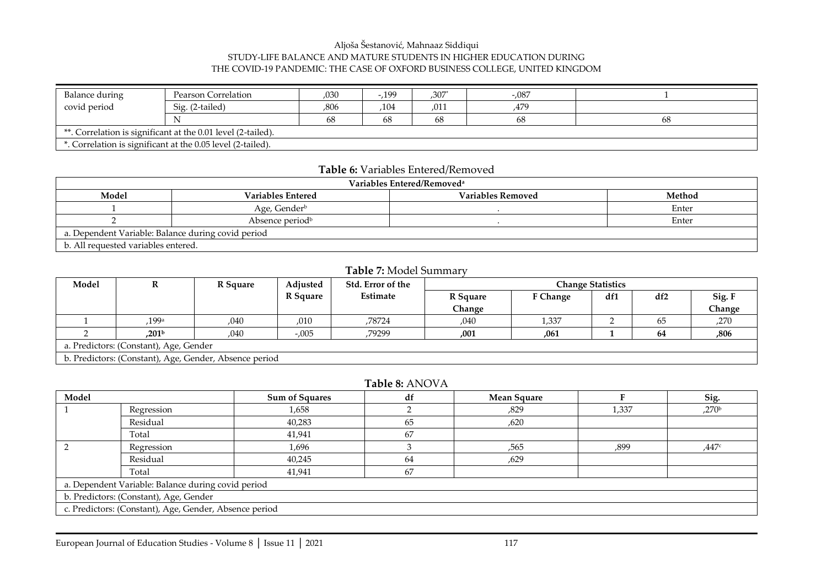#### Aljoša Šestanović, Mahnaaz Siddiqui STUDY-LIFE BALANCE AND MATURE STUDENTS IN HIGHER EDUCATION DURING THE COVID-19 PANDEMIC: THE CASE OF OXFORD BUSINESS COLLEGE, UNITED KINGDOM

| Balance during                                               | Pearson Correlation | 030  | .199 | $,307*$ | $-.087$ |    |  |
|--------------------------------------------------------------|---------------------|------|------|---------|---------|----|--|
| covid period                                                 | Sig. (2-tailed)     | ,806 | ,104 | ,011    | ,479    |    |  |
|                                                              |                     | 68   | 68   | 68      | 68      | 68 |  |
| **. Correlation is significant at the 0.01 level (2-tailed). |                     |      |      |         |         |    |  |
| *. Correlation is significant at the 0.05 level (2-tailed).  |                     |      |      |         |         |    |  |

#### **Table 6:** Variables Entered/Removed

| Variables Entered/Removed <sup>a</sup>             |                             |                   |        |  |  |  |  |
|----------------------------------------------------|-----------------------------|-------------------|--------|--|--|--|--|
| Model                                              | <b>Variables Entered</b>    | Variables Removed | Method |  |  |  |  |
|                                                    | Age, Gender <sup>b</sup>    |                   | Enter  |  |  |  |  |
|                                                    | Absence period <sup>b</sup> |                   | Enter  |  |  |  |  |
| a. Dependent Variable: Balance during covid period |                             |                   |        |  |  |  |  |
| b. All requested variables entered.                |                             |                   |        |  |  |  |  |

#### **Table 7:** Model Summary

| Model                                  | R                                                      | R Square | Adjusted | Std. Error of the | <b>Change Statistics</b> |                 |     |     |        |  |
|----------------------------------------|--------------------------------------------------------|----------|----------|-------------------|--------------------------|-----------------|-----|-----|--------|--|
|                                        |                                                        |          | R Square | Estimate          | R Square                 | <b>F</b> Change | df1 | df2 | Sig. F |  |
|                                        |                                                        |          |          |                   | Change                   |                 |     |     | Change |  |
|                                        | 199a                                                   | .040     | ,010     | ,78724            | ,040                     | 1,337           |     | 65  | ,270   |  |
|                                        | .201 <sup>b</sup>                                      | .040     | $-.005$  | ,79299            | ,001                     | .061            |     | 64  | ,806   |  |
| a. Predictors: (Constant), Age, Gender |                                                        |          |          |                   |                          |                 |     |     |        |  |
|                                        | b. Predictors: (Constant), Age, Gender, Absence period |          |          |                   |                          |                 |     |     |        |  |

### **Table 8:** ANOVA

| Model                                  |                                                        | <b>Sum of Squares</b> | df | <b>Mean Square</b> |       | Sig.              |  |  |  |
|----------------------------------------|--------------------------------------------------------|-----------------------|----|--------------------|-------|-------------------|--|--|--|
|                                        | Regression                                             | 1,658                 |    | ,829               | 1,337 | ,270 <sup>b</sup> |  |  |  |
|                                        | Residual                                               | 40,283                | 65 | ,620               |       |                   |  |  |  |
|                                        | Total                                                  | 41,941                | 67 |                    |       |                   |  |  |  |
|                                        | Regression                                             | 1,696                 |    | ,565               | ,899  | ,447c             |  |  |  |
|                                        | Residual                                               | 40,245                | 64 | ,629               |       |                   |  |  |  |
|                                        | Total                                                  | 41,941                | 67 |                    |       |                   |  |  |  |
|                                        | a. Dependent Variable: Balance during covid period     |                       |    |                    |       |                   |  |  |  |
| b. Predictors: (Constant), Age, Gender |                                                        |                       |    |                    |       |                   |  |  |  |
|                                        | c. Predictors: (Constant), Age, Gender, Absence period |                       |    |                    |       |                   |  |  |  |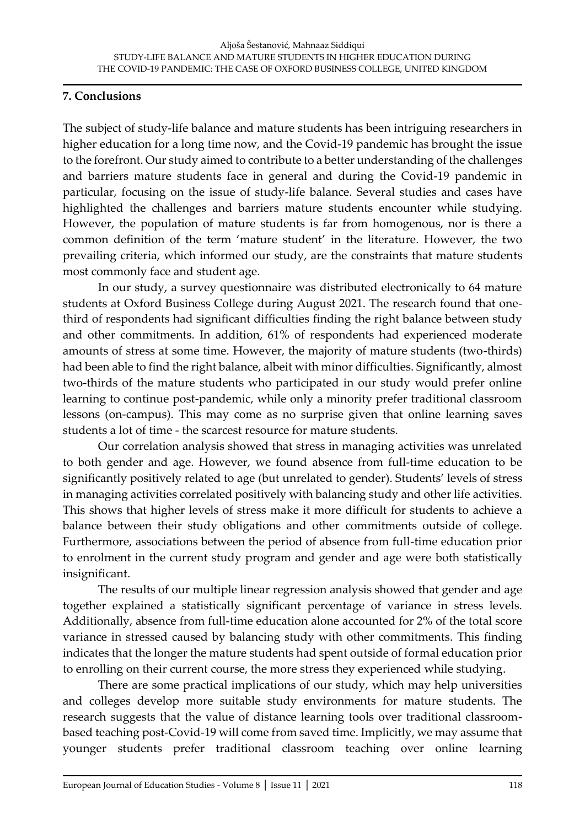### **7. Conclusions**

The subject of study-life balance and mature students has been intriguing researchers in higher education for a long time now, and the Covid-19 pandemic has brought the issue to the forefront. Our study aimed to contribute to a better understanding of the challenges and barriers mature students face in general and during the Covid-19 pandemic in particular, focusing on the issue of study-life balance. Several studies and cases have highlighted the challenges and barriers mature students encounter while studying. However, the population of mature students is far from homogenous, nor is there a common definition of the term 'mature student' in the literature. However, the two prevailing criteria, which informed our study, are the constraints that mature students most commonly face and student age.

In our study, a survey questionnaire was distributed electronically to 64 mature students at Oxford Business College during August 2021. The research found that onethird of respondents had significant difficulties finding the right balance between study and other commitments. In addition, 61% of respondents had experienced moderate amounts of stress at some time. However, the majority of mature students (two-thirds) had been able to find the right balance, albeit with minor difficulties. Significantly, almost two-thirds of the mature students who participated in our study would prefer online learning to continue post-pandemic, while only a minority prefer traditional classroom lessons (on-campus). This may come as no surprise given that online learning saves students a lot of time - the scarcest resource for mature students.

Our correlation analysis showed that stress in managing activities was unrelated to both gender and age. However, we found absence from full-time education to be significantly positively related to age (but unrelated to gender). Students' levels of stress in managing activities correlated positively with balancing study and other life activities. This shows that higher levels of stress make it more difficult for students to achieve a balance between their study obligations and other commitments outside of college. Furthermore, associations between the period of absence from full-time education prior to enrolment in the current study program and gender and age were both statistically insignificant.

The results of our multiple linear regression analysis showed that gender and age together explained a statistically significant percentage of variance in stress levels. Additionally, absence from full-time education alone accounted for 2% of the total score variance in stressed caused by balancing study with other commitments. This finding indicates that the longer the mature students had spent outside of formal education prior to enrolling on their current course, the more stress they experienced while studying.

There are some practical implications of our study, which may help universities and colleges develop more suitable study environments for mature students. The research suggests that the value of distance learning tools over traditional classroombased teaching post-Covid-19 will come from saved time. Implicitly, we may assume that younger students prefer traditional classroom teaching over online learning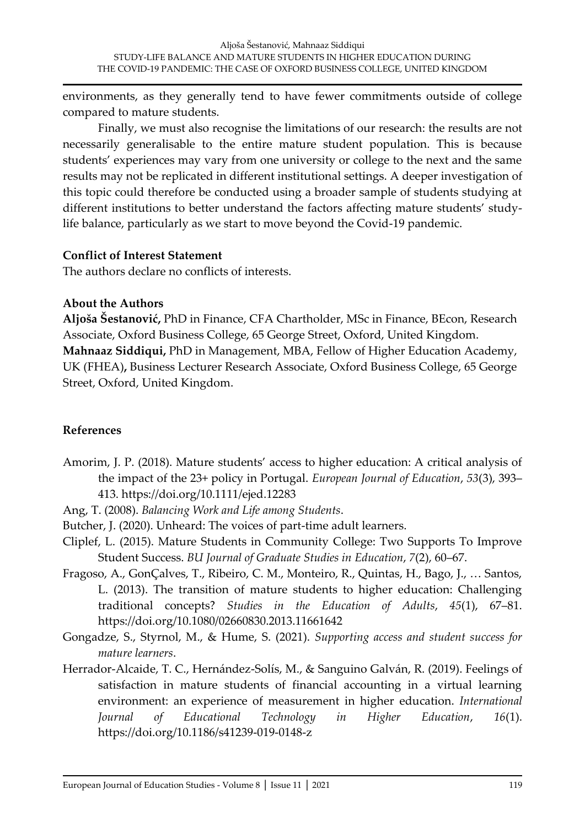environments, as they generally tend to have fewer commitments outside of college compared to mature students.

Finally, we must also recognise the limitations of our research: the results are not necessarily generalisable to the entire mature student population. This is because students' experiences may vary from one university or college to the next and the same results may not be replicated in different institutional settings. A deeper investigation of this topic could therefore be conducted using a broader sample of students studying at different institutions to better understand the factors affecting mature students' studylife balance, particularly as we start to move beyond the Covid-19 pandemic.

## **Conflict of Interest Statement**

The authors declare no conflicts of interests.

# **About the Authors**

**Aljoša Šestanović,** PhD in Finance, CFA Chartholder, MSc in Finance, BEcon, Research Associate, Oxford Business College, 65 George Street, Oxford, United Kingdom. **Mahnaaz Siddiqui,** PhD in Management, MBA, Fellow of Higher Education Academy, UK (FHEA)**,** Business Lecturer Research Associate, Oxford Business College, 65 George Street, Oxford, United Kingdom.

# **References**

- Amorim, J. P. (2018). Mature students' access to higher education: A critical analysis of the impact of the 23+ policy in Portugal. *European Journal of Education*, *53*(3), 393– 413. https://doi.org/10.1111/ejed.12283
- Ang, T. (2008). *Balancing Work and Life among Students*.
- Butcher, J. (2020). Unheard: The voices of part-time adult learners.
- Cliplef, L. (2015). Mature Students in Community College: Two Supports To Improve Student Success. *BU Journal of Graduate Studies in Education*, *7*(2), 60–67.
- Fragoso, A., GonÇalves, T., Ribeiro, C. M., Monteiro, R., Quintas, H., Bago, J., … Santos, L. (2013). The transition of mature students to higher education: Challenging traditional concepts? *Studies in the Education of Adults*, *45*(1), 67–81. https://doi.org/10.1080/02660830.2013.11661642
- Gongadze, S., Styrnol, M., & Hume, S. (2021). *Supporting access and student success for mature learners*.
- Herrador-Alcaide, T. C., Hernández-Solís, M., & Sanguino Galván, R. (2019). Feelings of satisfaction in mature students of financial accounting in a virtual learning environment: an experience of measurement in higher education. *International Journal of Educational Technology in Higher Education*, *16*(1). https://doi.org/10.1186/s41239-019-0148-z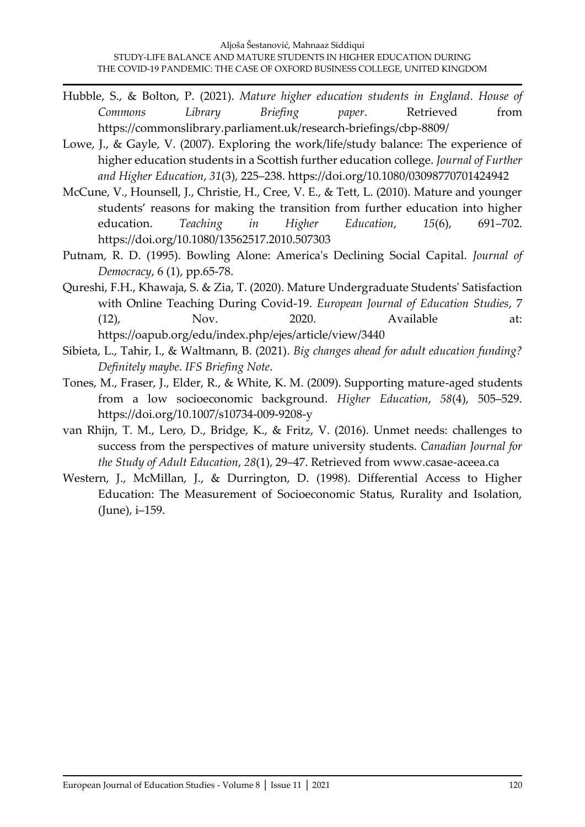- Hubble, S., & Bolton, P. (2021). *Mature higher education students in England*. *House of Commons Library Briefing paper*. Retrieved from https://commonslibrary.parliament.uk/research-briefings/cbp-8809/
- Lowe, J., & Gayle, V. (2007). Exploring the work/life/study balance: The experience of higher education students in a Scottish further education college. *Journal of Further and Higher Education*, *31*(3), 225–238. https://doi.org/10.1080/03098770701424942
- McCune, V., Hounsell, J., Christie, H., Cree, V. E., & Tett, L. (2010). Mature and younger students' reasons for making the transition from further education into higher education. *Teaching in Higher Education*, *15*(6), 691–702. https://doi.org/10.1080/13562517.2010.507303
- Putnam, R. D. (1995). Bowling Alone: America's Declining Social Capital. *Journal of Democracy*, 6 (1), pp.65-78.
- Qureshi, F.H., Khawaja, S. & Zia, T. (2020). Mature Undergraduate Students' Satisfaction with Online Teaching During Covid-19. *European Journal of Education Studies*, 7 (12), Nov. 2020. Available at: https://oapub.org/edu/index.php/ejes/article/view/3440
- Sibieta, L., Tahir, I., & Waltmann, B. (2021). *Big changes ahead for adult education funding? Definitely maybe*. *IFS Briefing Note*.
- Tones, M., Fraser, J., Elder, R., & White, K. M. (2009). Supporting mature-aged students from a low socioeconomic background. *Higher Education*, *58*(4), 505–529. https://doi.org/10.1007/s10734-009-9208-y
- van Rhijn, T. M., Lero, D., Bridge, K., & Fritz, V. (2016). Unmet needs: challenges to success from the perspectives of mature university students. *Canadian Journal for the Study of Adult Education*, *28*(1), 29–47. Retrieved from www.casae-aceea.ca
- Western, J., McMillan, J., & Durrington, D. (1998). Differential Access to Higher Education: The Measurement of Socioeconomic Status, Rurality and Isolation, (June), i–159.